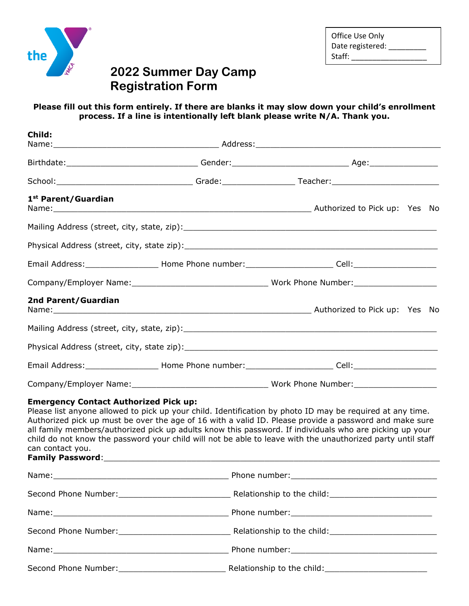

| Office Use Only  |
|------------------|
| Date registered: |
| Staff:           |

# **2022 Summer Day Camp Registration Form**

## **Please fill out this form entirely. If there are blanks it may slow down your child's enrollment process. If a line is intentionally left blank please write N/A. Thank you.**

| Child:                                                           |                                                                                                                                                                                                                                                                                                                                                                                                                                               |  |  |
|------------------------------------------------------------------|-----------------------------------------------------------------------------------------------------------------------------------------------------------------------------------------------------------------------------------------------------------------------------------------------------------------------------------------------------------------------------------------------------------------------------------------------|--|--|
|                                                                  |                                                                                                                                                                                                                                                                                                                                                                                                                                               |  |  |
|                                                                  |                                                                                                                                                                                                                                                                                                                                                                                                                                               |  |  |
| 1st Parent/Guardian                                              |                                                                                                                                                                                                                                                                                                                                                                                                                                               |  |  |
|                                                                  |                                                                                                                                                                                                                                                                                                                                                                                                                                               |  |  |
|                                                                  |                                                                                                                                                                                                                                                                                                                                                                                                                                               |  |  |
|                                                                  |                                                                                                                                                                                                                                                                                                                                                                                                                                               |  |  |
|                                                                  |                                                                                                                                                                                                                                                                                                                                                                                                                                               |  |  |
| 2nd Parent/Guardian                                              |                                                                                                                                                                                                                                                                                                                                                                                                                                               |  |  |
|                                                                  |                                                                                                                                                                                                                                                                                                                                                                                                                                               |  |  |
|                                                                  |                                                                                                                                                                                                                                                                                                                                                                                                                                               |  |  |
|                                                                  |                                                                                                                                                                                                                                                                                                                                                                                                                                               |  |  |
|                                                                  |                                                                                                                                                                                                                                                                                                                                                                                                                                               |  |  |
| <b>Emergency Contact Authorized Pick up:</b><br>can contact you. | Please list anyone allowed to pick up your child. Identification by photo ID may be required at any time.<br>Authorized pick up must be over the age of 16 with a valid ID. Please provide a password and make sure<br>all family members/authorized pick up adults know this password. If individuals who are picking up your<br>child do not know the password your child will not be able to leave with the unauthorized party until staff |  |  |
|                                                                  |                                                                                                                                                                                                                                                                                                                                                                                                                                               |  |  |
|                                                                  |                                                                                                                                                                                                                                                                                                                                                                                                                                               |  |  |
|                                                                  |                                                                                                                                                                                                                                                                                                                                                                                                                                               |  |  |
|                                                                  |                                                                                                                                                                                                                                                                                                                                                                                                                                               |  |  |
|                                                                  |                                                                                                                                                                                                                                                                                                                                                                                                                                               |  |  |
|                                                                  |                                                                                                                                                                                                                                                                                                                                                                                                                                               |  |  |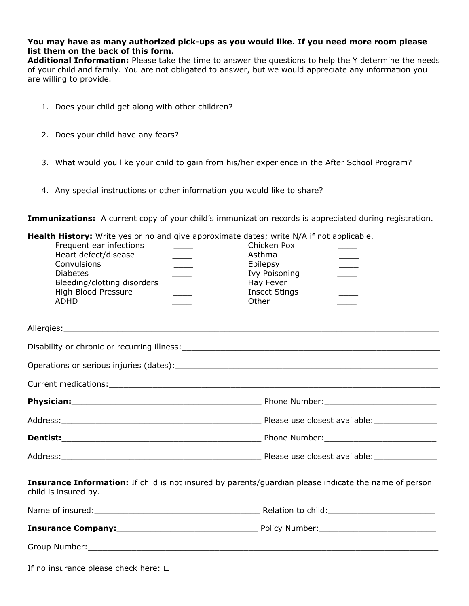### **You may have as many authorized pick-ups as you would like. If you need more room please list them on the back of this form.**

**Additional Information:** Please take the time to answer the questions to help the Y determine the needs of your child and family. You are not obligated to answer, but we would appreciate any information you are willing to provide.

- 1. Does your child get along with other children?
- 2. Does your child have any fears?
- 3. What would you like your child to gain from his/her experience in the After School Program?
- 4. Any special instructions or other information you would like to share?

**Immunizations:** A current copy of your child's immunization records is appreciated during registration.

|                          | <b>Health History:</b> Write yes or no and give approximate dates; write N/A if not applicable. |
|--------------------------|-------------------------------------------------------------------------------------------------|
| Froquant any infootings. | Chielcan Dav                                                                                    |

| Frequent ear infections<br>Heart defect/disease<br>Convulsions<br><b>Diabetes</b><br>Bleeding/clotting disorders<br>High Blood Pressure<br><b>ADHD</b>                                                                         | $\frac{1}{2}$ | Chicken Pox<br>Asthma<br>Epilepsy<br><b>Ivy Poisoning</b><br>Hay Fever<br><b>Insect Stings</b><br>Other | $\overline{\phantom{a}}$<br>$\sim$ 10 $\mu$<br>$\sim$ |  |
|--------------------------------------------------------------------------------------------------------------------------------------------------------------------------------------------------------------------------------|---------------|---------------------------------------------------------------------------------------------------------|-------------------------------------------------------|--|
|                                                                                                                                                                                                                                |               |                                                                                                         |                                                       |  |
|                                                                                                                                                                                                                                |               |                                                                                                         |                                                       |  |
|                                                                                                                                                                                                                                |               |                                                                                                         |                                                       |  |
|                                                                                                                                                                                                                                |               |                                                                                                         |                                                       |  |
|                                                                                                                                                                                                                                |               |                                                                                                         |                                                       |  |
|                                                                                                                                                                                                                                |               |                                                                                                         |                                                       |  |
|                                                                                                                                                                                                                                |               |                                                                                                         |                                                       |  |
|                                                                                                                                                                                                                                |               |                                                                                                         |                                                       |  |
| Insurance Information: If child is not insured by parents/guardian please indicate the name of person<br>child is insured by.                                                                                                  |               |                                                                                                         |                                                       |  |
|                                                                                                                                                                                                                                |               |                                                                                                         |                                                       |  |
|                                                                                                                                                                                                                                |               |                                                                                                         |                                                       |  |
| Group Number: University of the Commission of the Commission of the Commission of the Commission of the Commission of the Commission of the Commission of the Commission of the Commission of the Commission of the Commission |               |                                                                                                         |                                                       |  |
|                                                                                                                                                                                                                                |               |                                                                                                         |                                                       |  |

|  | If no insurance please check here: $\Box$ |  |  |
|--|-------------------------------------------|--|--|
|  |                                           |  |  |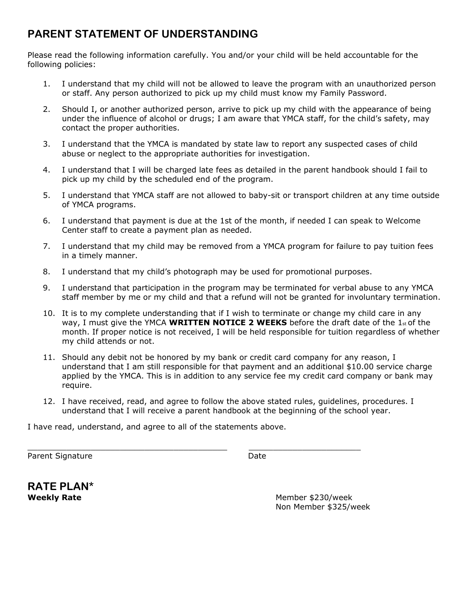## **PARENT STATEMENT OF UNDERSTANDING**

Please read the following information carefully. You and/or your child will be held accountable for the following policies:

- 1. I understand that my child will not be allowed to leave the program with an unauthorized person or staff. Any person authorized to pick up my child must know my Family Password.
- 2. Should I, or another authorized person, arrive to pick up my child with the appearance of being under the influence of alcohol or drugs; I am aware that YMCA staff, for the child's safety, may contact the proper authorities.
- 3. I understand that the YMCA is mandated by state law to report any suspected cases of child abuse or neglect to the appropriate authorities for investigation.
- 4. I understand that I will be charged late fees as detailed in the parent handbook should I fail to pick up my child by the scheduled end of the program.
- 5. I understand that YMCA staff are not allowed to baby-sit or transport children at any time outside of YMCA programs.
- 6. I understand that payment is due at the 1st of the month, if needed I can speak to Welcome Center staff to create a payment plan as needed.
- 7. I understand that my child may be removed from a YMCA program for failure to pay tuition fees in a timely manner.
- 8. I understand that my child's photograph may be used for promotional purposes.
- 9. I understand that participation in the program may be terminated for verbal abuse to any YMCA staff member by me or my child and that a refund will not be granted for involuntary termination.
- 10. It is to my complete understanding that if I wish to terminate or change my child care in any way, I must give the YMCA **WRITTEN NOTICE 2 WEEKS** before the draft date of the 1st of the month. If proper notice is not received, I will be held responsible for tuition regardless of whether my child attends or not.
- 11. Should any debit not be honored by my bank or credit card company for any reason, I understand that I am still responsible for that payment and an additional \$10.00 service charge applied by the YMCA. This is in addition to any service fee my credit card company or bank may require.
- 12. I have received, read, and agree to follow the above stated rules, guidelines, procedures. I understand that I will receive a parent handbook at the beginning of the school year.

I have read, understand, and agree to all of the statements above.

 $\_$  , and the state of the state of the state of the state of the state of the state of the state of the state of the state of the state of the state of the state of the state of the state of the state of the state of the

Parent Signature Date

**RATE PLAN\*** 

**Weekly Rate Member \$230/week** Non Member \$325/week